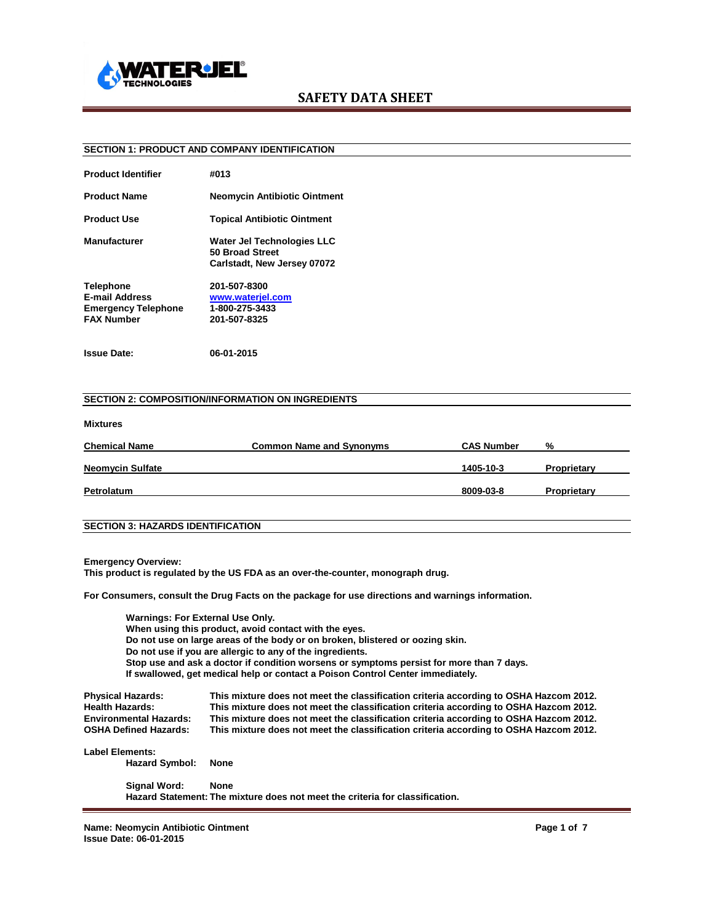

### **SECTION 1: PRODUCT AND COMPANY IDENTIFICATION**

| <b>Product Identifier</b>                                                                    | #013                                                                                |
|----------------------------------------------------------------------------------------------|-------------------------------------------------------------------------------------|
| <b>Product Name</b>                                                                          | <b>Neomycin Antibiotic Ointment</b>                                                 |
| <b>Product Use</b>                                                                           | <b>Topical Antibiotic Ointment</b>                                                  |
| <b>Manufacturer</b>                                                                          | <b>Water Jel Technologies LLC</b><br>50 Broad Street<br>Carlstadt, New Jersey 07072 |
| <b>Telephone</b><br><b>E-mail Address</b><br><b>Emergency Telephone</b><br><b>FAX Number</b> | 201-507-8300<br>www.wateriel.com<br>1-800-275-3433<br>201-507-8325                  |

**Issue Date: 06-01-2015**

#### **SECTION 2: COMPOSITION/INFORMATION ON INGREDIENTS**

#### **Mixtures**

| <b>Chemical Name</b>    | <b>Common Name and Synonyms</b> | <b>CAS Number</b> | %           |
|-------------------------|---------------------------------|-------------------|-------------|
|                         |                                 |                   |             |
| <b>Neomycin Sulfate</b> |                                 | 1405-10-3         | Proprietary |
| Petrolatum              |                                 | 8009-03-8         | Proprietary |

## **SECTION 3: HAZARDS IDENTIFICATION**

**Emergency Overview:**

**This product is regulated by the US FDA as an over-the-counter, monograph drug.**

**For Consumers, consult the Drug Facts on the package for use directions and warnings information.**

**Warnings: For External Use Only. When using this product, avoid contact with the eyes. Do not use on large areas of the body or on broken, blistered or oozing skin. Do not use if you are allergic to any of the ingredients. Stop use and ask a doctor if condition worsens or symptoms persist for more than 7 days. If swallowed, get medical help or contact a Poison Control Center immediately.**

| <b>Physical Hazards:</b><br><b>Health Hazards:</b> | This mixture does not meet the classification criteria according to OSHA Hazcom 2012.<br>This mixture does not meet the classification criteria according to OSHA Hazcom 2012. |
|----------------------------------------------------|--------------------------------------------------------------------------------------------------------------------------------------------------------------------------------|
| <b>Environmental Hazards:</b>                      | This mixture does not meet the classification criteria according to OSHA Hazcom 2012.                                                                                          |
| <b>OSHA Defined Hazards:</b>                       | This mixture does not meet the classification criteria according to OSHA Hazcom 2012.                                                                                          |
| <b>Label Elements:</b>                             |                                                                                                                                                                                |
| <b>Hazard Symbol:</b>                              | None                                                                                                                                                                           |
| Signal Word:                                       | <b>None</b>                                                                                                                                                                    |
|                                                    | Hazard Statement: The mixture does not meet the criteria for classification.                                                                                                   |

**Name: Neomycin Antibiotic Ointment Page 1 of 7 Issue Date: 06-01-2015**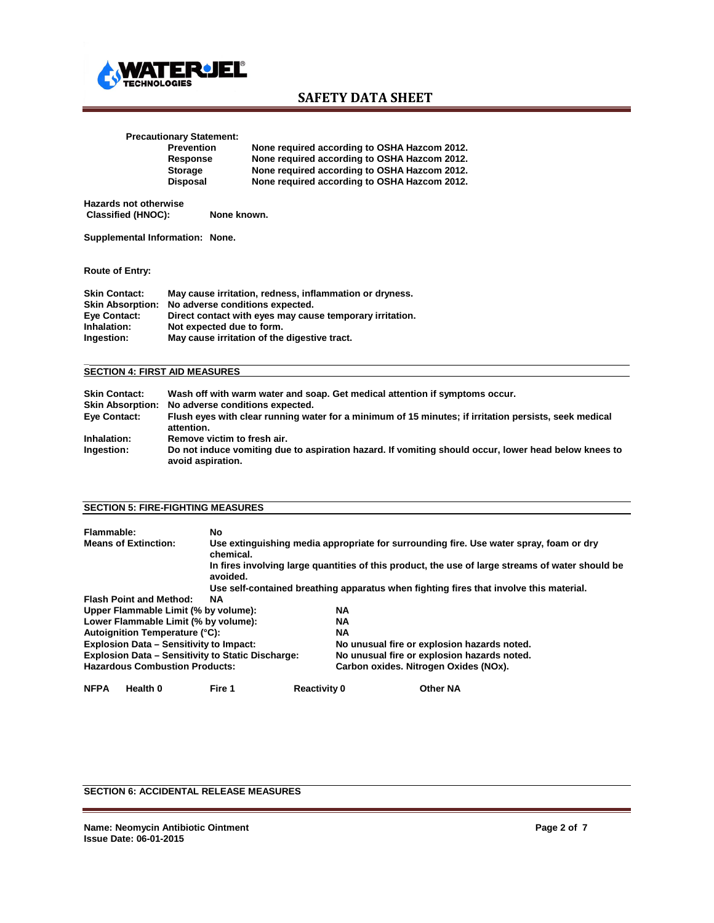

# **Precautionary Statement:**

**Prevention None required according to OSHA Hazcom 2012. Response None required according to OSHA Hazcom 2012. Storage None required according to OSHA Hazcom 2012. Disposal None required according to OSHA Hazcom 2012.**

**Hazards not otherwise Classified (HNOC): None known.**

**Supplemental Information: None.**

#### **Route of Entry:**

| <b>Skin Contact:</b><br><b>Skin Absorption:</b> | May cause irritation, redness, inflammation or dryness.<br>No adverse conditions expected. |
|-------------------------------------------------|--------------------------------------------------------------------------------------------|
| Eye Contact:                                    | Direct contact with eyes may cause temporary irritation.                                   |
| Inhalation:                                     | Not expected due to form.                                                                  |
| Ingestion:                                      | May cause irritation of the digestive tract.                                               |

#### **\_ SECTION 4: FIRST AID MEASURES**

| <b>Skin Contact:</b>    | Wash off with warm water and soap. Get medical attention if symptoms occur.                                               |
|-------------------------|---------------------------------------------------------------------------------------------------------------------------|
| <b>Skin Absorption:</b> | No adverse conditions expected.                                                                                           |
| Eye Contact:            | Flush eyes with clear running water for a minimum of 15 minutes; if irritation persists, seek medical<br>attention.       |
| Inhalation:             | Remove victim to fresh air.                                                                                               |
| Ingestion:              | Do not induce vomiting due to aspiration hazard. If vomiting should occur, lower head below knees to<br>avoid aspiration. |

### **SECTION 5: FIRE-FIGHTING MEASURES**

| Flammable:  |                                                          | No.       |                     |           |                                                                                                  |  |
|-------------|----------------------------------------------------------|-----------|---------------------|-----------|--------------------------------------------------------------------------------------------------|--|
|             | <b>Means of Extinction:</b>                              | chemical. |                     |           | Use extinguishing media appropriate for surrounding fire. Use water spray, foam or dry           |  |
|             |                                                          | avoided.  |                     |           | In fires involving large quantities of this product, the use of large streams of water should be |  |
|             |                                                          |           |                     |           | Use self-contained breathing apparatus when fighting fires that involve this material.           |  |
|             | <b>Flash Point and Method:</b>                           | NA        |                     |           |                                                                                                  |  |
|             | Upper Flammable Limit (% by volume):                     |           |                     | NA        |                                                                                                  |  |
|             | Lower Flammable Limit (% by volume):                     |           |                     | NA        |                                                                                                  |  |
|             | Autoignition Temperature (°C):                           |           |                     | <b>NA</b> |                                                                                                  |  |
|             | <b>Explosion Data - Sensitivity to Impact:</b>           |           |                     |           | No unusual fire or explosion hazards noted.                                                      |  |
|             | <b>Explosion Data - Sensitivity to Static Discharge:</b> |           |                     |           | No unusual fire or explosion hazards noted.                                                      |  |
|             | <b>Hazardous Combustion Products:</b>                    |           |                     |           | Carbon oxides. Nitrogen Oxides (NOx).                                                            |  |
| <b>NFPA</b> | Health 0                                                 | Fire 1    | <b>Reactivity 0</b> |           | <b>Other NA</b>                                                                                  |  |

# **SECTION 6: ACCIDENTAL RELEASE MEASURES**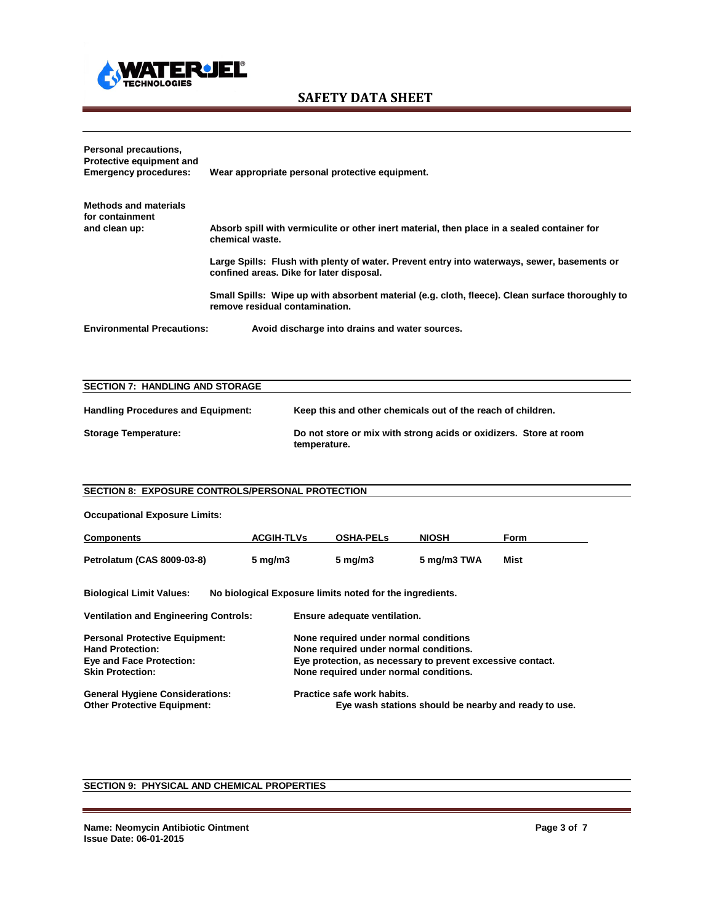

# **Personal precautions, Protective equipment and Emergency procedures: Wear appropriate personal protective equipment. Methods and materials for containment** Absorb spill with vermiculite or other inert material, then place in a sealed container for **chemical waste. Large Spills: Flush with plenty of water. Prevent entry into waterways, sewer, basements or confined areas. Dike for later disposal. Small Spills: Wipe up with absorbent material (e.g. cloth, fleece). Clean surface thoroughly to remove residual contamination. Environmental Precautions: Avoid discharge into drains and water sources.**

| <b>SECTION 7: HANDLING AND STORAGE</b>    |                                                                                   |
|-------------------------------------------|-----------------------------------------------------------------------------------|
|                                           |                                                                                   |
| <b>Handling Procedures and Equipment:</b> | Keep this and other chemicals out of the reach of children.                       |
| <b>Storage Temperature:</b>               | Do not store or mix with strong acids or oxidizers. Store at room<br>temperature. |

### **SECTION 8: EXPOSURE CONTROLS/PERSONAL PROTECTION**

| <b>Occupational Exposure Limits:</b>                                                                                           |                     |                                                                                                                                                                                         |              |                                                      |
|--------------------------------------------------------------------------------------------------------------------------------|---------------------|-----------------------------------------------------------------------------------------------------------------------------------------------------------------------------------------|--------------|------------------------------------------------------|
| <b>Components</b>                                                                                                              | <b>ACGIH-TLVs</b>   | <b>OSHA-PELS</b>                                                                                                                                                                        | <b>NIOSH</b> | Form                                                 |
| Petrolatum (CAS 8009-03-8)                                                                                                     | $5 \,\mathrm{mg/m}$ | $5 \,\mathrm{mg/m}$                                                                                                                                                                     | 5 mg/m3 TWA  | Mist                                                 |
| <b>Biological Limit Values:</b>                                                                                                |                     | No biological Exposure limits noted for the ingredients.                                                                                                                                |              |                                                      |
| <b>Ventilation and Engineering Controls:</b>                                                                                   |                     | Ensure adequate ventilation.                                                                                                                                                            |              |                                                      |
| <b>Personal Protective Equipment:</b><br><b>Hand Protection:</b><br><b>Eye and Face Protection:</b><br><b>Skin Protection:</b> |                     | None required under normal conditions<br>None required under normal conditions.<br>Eye protection, as necessary to prevent excessive contact.<br>None required under normal conditions. |              |                                                      |
| <b>General Hygiene Considerations:</b><br><b>Other Protective Equipment:</b>                                                   |                     | Practice safe work habits.                                                                                                                                                              |              | Eye wash stations should be nearby and ready to use. |

## **SECTION 9: PHYSICAL AND CHEMICAL PROPERTIES**

**Name: Neomycin Antibiotic Ointment Page 3 of 7 Issue Date: 06-01-2015**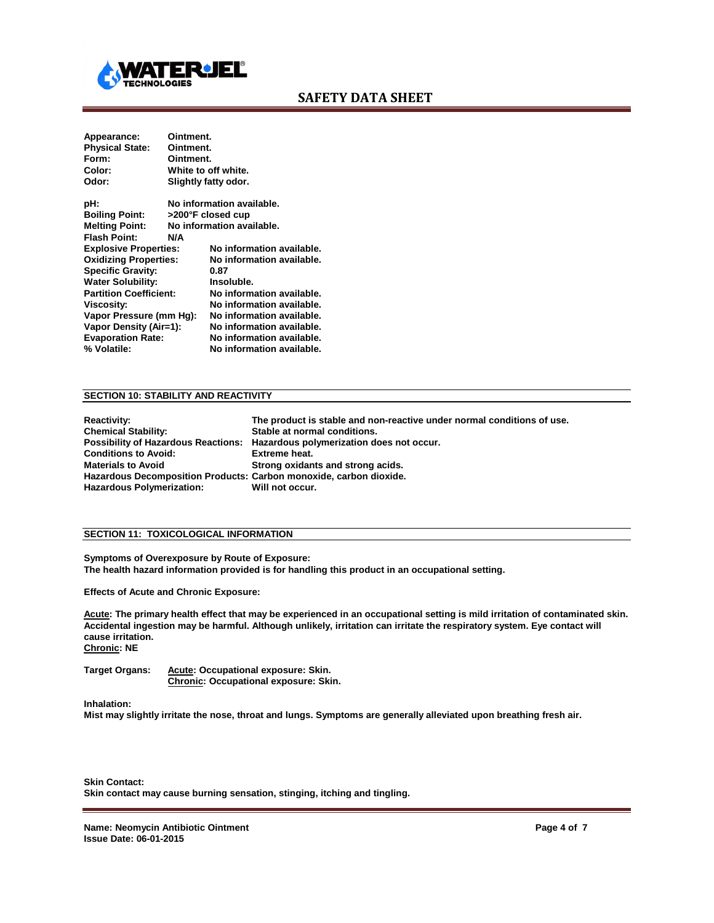

| Appearance:                   | Ointment. |                           |
|-------------------------------|-----------|---------------------------|
| <b>Physical State:</b>        | Ointment. |                           |
| Form:                         | Ointment. |                           |
| Color:                        |           | White to off white.       |
| Odor:                         |           | Slightly fatty odor.      |
| pH:                           |           | No information available. |
| <b>Boiling Point:</b>         |           | >200°F closed cup         |
| <b>Melting Point:</b>         |           | No information available. |
| <b>Flash Point:</b>           | N/A       |                           |
| <b>Explosive Properties:</b>  |           | No information available. |
| <b>Oxidizing Properties:</b>  |           | No information available. |
| <b>Specific Gravity:</b>      |           | 0.87                      |
| Water Solubility:             |           | Insoluble.                |
| <b>Partition Coefficient:</b> |           | No information available. |
| Viscosity:                    |           | No information available. |
| Vapor Pressure (mm Hg):       |           | No information available. |
| <b>Vapor Density (Air=1):</b> |           | No information available. |
| <b>Evaporation Rate:</b>      |           | No information available. |
| % Volatile:                   |           | No information available. |

#### **SECTION 10: STABILITY AND REACTIVITY**

| <b>Reactivity:</b>                                                 | The product is stable and non-reactive under normal conditions of use.       |
|--------------------------------------------------------------------|------------------------------------------------------------------------------|
| <b>Chemical Stability:</b>                                         | Stable at normal conditions.                                                 |
|                                                                    | Possibility of Hazardous Reactions: Hazardous polymerization does not occur. |
| <b>Conditions to Avoid:</b>                                        | Extreme heat.                                                                |
| <b>Materials to Avoid</b>                                          | Strong oxidants and strong acids.                                            |
| Hazardous Decomposition Products: Carbon monoxide, carbon dioxide. |                                                                              |
| <b>Hazardous Polymerization:</b>                                   | Will not occur.                                                              |

### **SECTION 11: TOXICOLOGICAL INFORMATION**

**Symptoms of Overexposure by Route of Exposure: The health hazard information provided is for handling this product in an occupational setting.**

**Effects of Acute and Chronic Exposure:**

**Acute: The primary health effect that may be experienced in an occupational setting is mild irritation of contaminated skin. Accidental ingestion may be harmful. Although unlikely, irritation can irritate the respiratory system. Eye contact will cause irritation. Chronic: NE**

**Target Organs: Acute: Occupational exposure: Skin. Chronic: Occupational exposure: Skin.**

**Inhalation:**

**Mist may slightly irritate the nose, throat and lungs. Symptoms are generally alleviated upon breathing fresh air.**

**Skin Contact: Skin contact may cause burning sensation, stinging, itching and tingling.** 

**Name: Neomycin Antibiotic Ointment Page 4 of 7 Issue Date: 06-01-2015**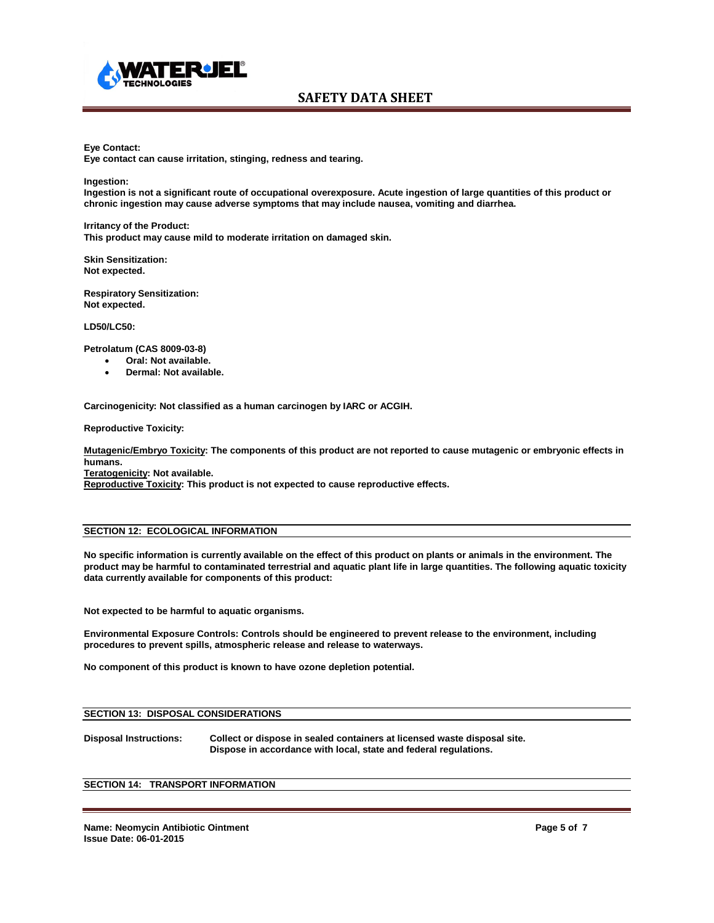

#### **Eye Contact:**

**Eye contact can cause irritation, stinging, redness and tearing.**

**Ingestion:**

**Ingestion is not a significant route of occupational overexposure. Acute ingestion of large quantities of this product or chronic ingestion may cause adverse symptoms that may include nausea, vomiting and diarrhea.**

**Irritancy of the Product: This product may cause mild to moderate irritation on damaged skin.**

**Skin Sensitization: Not expected.**

**Respiratory Sensitization: Not expected.**

**LD50/LC50:**

**Petrolatum (CAS 8009-03-8)**

- **Oral: Not available.**
- **Dermal: Not available.**

**Carcinogenicity: Not classified as a human carcinogen by IARC or ACGIH.**

**Reproductive Toxicity:** 

**Mutagenic/Embryo Toxicity: The components of this product are not reported to cause mutagenic or embryonic effects in humans.**

**Teratogenicity: Not available.**

**Reproductive Toxicity: This product is not expected to cause reproductive effects.**

### **SECTION 12: ECOLOGICAL INFORMATION**

**No specific information is currently available on the effect of this product on plants or animals in the environment. The product may be harmful to contaminated terrestrial and aquatic plant life in large quantities. The following aquatic toxicity data currently available for components of this product:**

**Not expected to be harmful to aquatic organisms.**

**Environmental Exposure Controls: Controls should be engineered to prevent release to the environment, including procedures to prevent spills, atmospheric release and release to waterways.**

**No component of this product is known to have ozone depletion potential.**

#### **SECTION 13: DISPOSAL CONSIDERATIONS**

**Disposal Instructions: Collect or dispose in sealed containers at licensed waste disposal site. Dispose in accordance with local, state and federal regulations.**

### **SECTION 14: TRANSPORT INFORMATION**

**Name: Neomycin Antibiotic Ointment Page 5 of 7 Issue Date: 06-01-2015**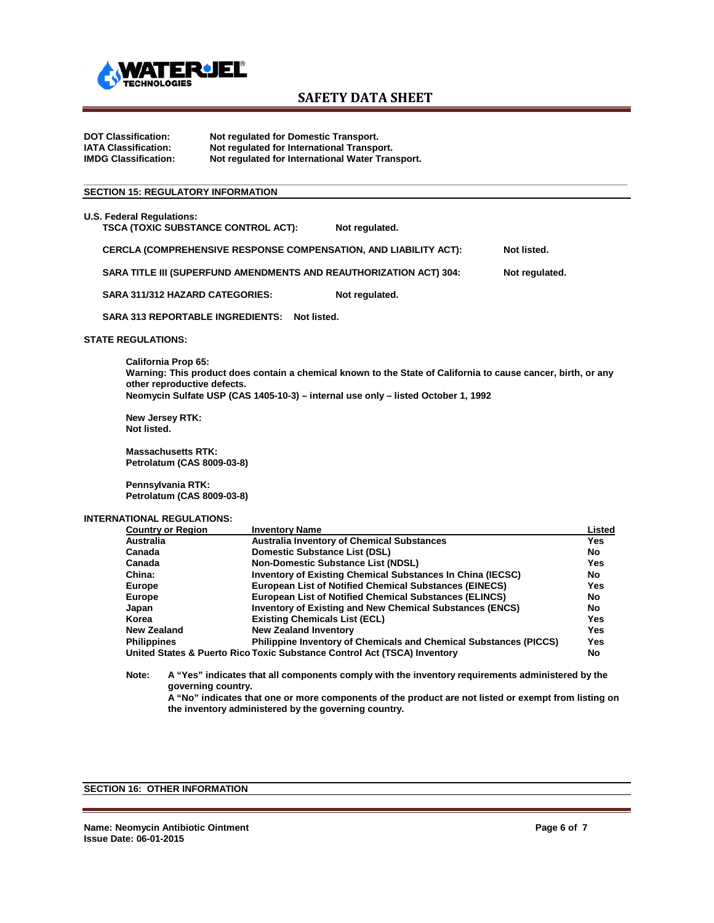

**DOT Classification: Not regulated for Domestic Transport. IATA Classification: Not regulated for International Transport. Not regulated for International Water Transport.** 

### **SECTION 15: REGULATORY INFORMATION**

| <b>U.S. Federal Regulations:</b>                                          |                |                |
|---------------------------------------------------------------------------|----------------|----------------|
| <b>TSCA (TOXIC SUBSTANCE CONTROL ACT):</b>                                | Not regulated. |                |
| <b>CERCLA (COMPREHENSIVE RESPONSE COMPENSATION, AND LIABILITY ACT):</b>   |                | Not listed.    |
| <b>SARA TITLE III (SUPERFUND AMENDMENTS AND REAUTHORIZATION ACT) 304:</b> |                | Not regulated. |
| SARA 311/312 HAZARD CATEGORIES:                                           | Not regulated. |                |
| <b>SARA 313 REPORTABLE INGREDIENTS:</b><br>Not listed.                    |                |                |
| <b>STATE REGULATIONS:</b>                                                 |                |                |

**\_\_\_\_\_\_\_\_\_\_\_\_\_\_\_\_\_\_\_\_\_\_\_\_\_\_\_\_\_\_\_\_\_\_\_\_\_\_\_\_\_\_\_\_\_\_\_\_\_\_\_\_\_\_\_\_\_\_\_\_\_\_\_\_\_\_\_\_\_\_\_\_\_\_\_\_\_\_\_\_\_\_\_\_\_\_\_\_\_\_\_\_\_\_\_\_\_\_\_\_\_\_\_\_\_**

 **California Prop 65: Warning: This product does contain a chemical known to the State of California to cause cancer, birth, or any other reproductive defects. Neomycin Sulfate USP (CAS 1405-10-3) – internal use only – listed October 1, 1992**

**New Jersey RTK: Not listed.**

**Massachusetts RTK: Petrolatum (CAS 8009-03-8)**

**Pennsylvania RTK: Petrolatum (CAS 8009-03-8)**

#### **INTERNATIONAL REGULATIONS:**

| <b>Country or Region</b>                                                       | <b>Inventory Name</b>                                                    | Listed    |  |  |
|--------------------------------------------------------------------------------|--------------------------------------------------------------------------|-----------|--|--|
| <b>Australia</b>                                                               | <b>Australia Inventory of Chemical Substances</b>                        | Yes       |  |  |
| Canada                                                                         | Domestic Substance List (DSL)                                            | <b>No</b> |  |  |
| Canada                                                                         | <b>Non-Domestic Substance List (NDSL)</b>                                | Yes       |  |  |
| China:                                                                         | <b>Inventory of Existing Chemical Substances In China (IECSC)</b>        | No        |  |  |
| Europe                                                                         | <b>European List of Notified Chemical Substances (EINECS)</b>            | Yes       |  |  |
| <b>Europe</b>                                                                  | <b>European List of Notified Chemical Substances (ELINCS)</b>            | No        |  |  |
| Japan                                                                          | <b>Inventory of Existing and New Chemical Substances (ENCS)</b>          | No        |  |  |
| Korea                                                                          | <b>Existing Chemicals List (ECL)</b>                                     | Yes       |  |  |
| <b>New Zealand</b>                                                             | <b>New Zealand Inventory</b>                                             | Yes       |  |  |
| <b>Philippines</b>                                                             | <b>Philippine Inventory of Chemicals and Chemical Substances (PICCS)</b> | Yes       |  |  |
| United States & Puerto Rico Toxic Substance Control Act (TSCA) Inventory<br>No |                                                                          |           |  |  |

**Note: A "Yes" indicates that all components comply with the inventory requirements administered by the governing country.**

**A "No" indicates that one or more components of the product are not listed or exempt from listing on the inventory administered by the governing country.**

# **SECTION 16: OTHER INFORMATION**